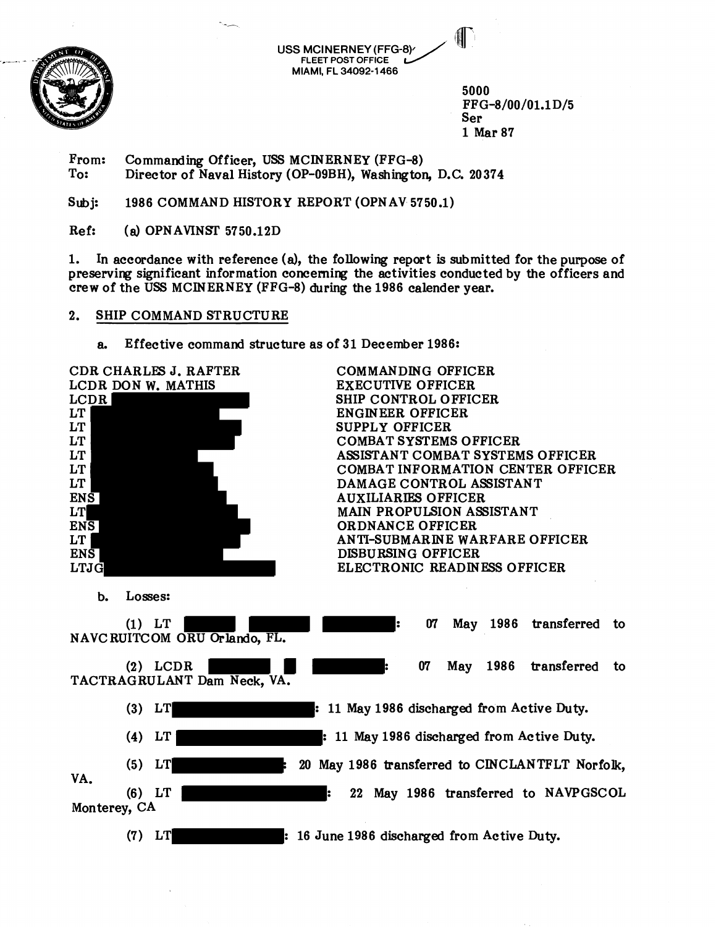

**USS MCINERNEY (FFG-8) FLEET POST OFFICE MIAMI, FL 34092-1 466** 

5000 FPG-8/00/01.1D/5 Ser 1 Mar 87

From: Commanding Officer, USS MCINERNEY (FFG-8)<br>To: Director of Naval History (OP-09BH), Washington Director of Naval History (OP-09BH), Washington, D.C. 20374

Subi: 1986 COMMAND HISTORY REPORT (OPNAV 5750.1)

 $Ref:$  (a) OPN AVINST 5750.12D

1. In accordance with reference **(a),** the following report is submitted for the purpose of preserving significant information concerning the activities conducted by the officers and crew of the USS MCINERNEY (FFG-8) during the 1986 calender year.

## 2. SHIP COMMAND STRUCTURE

**a.** Effective command structure as of 31 December 1986:

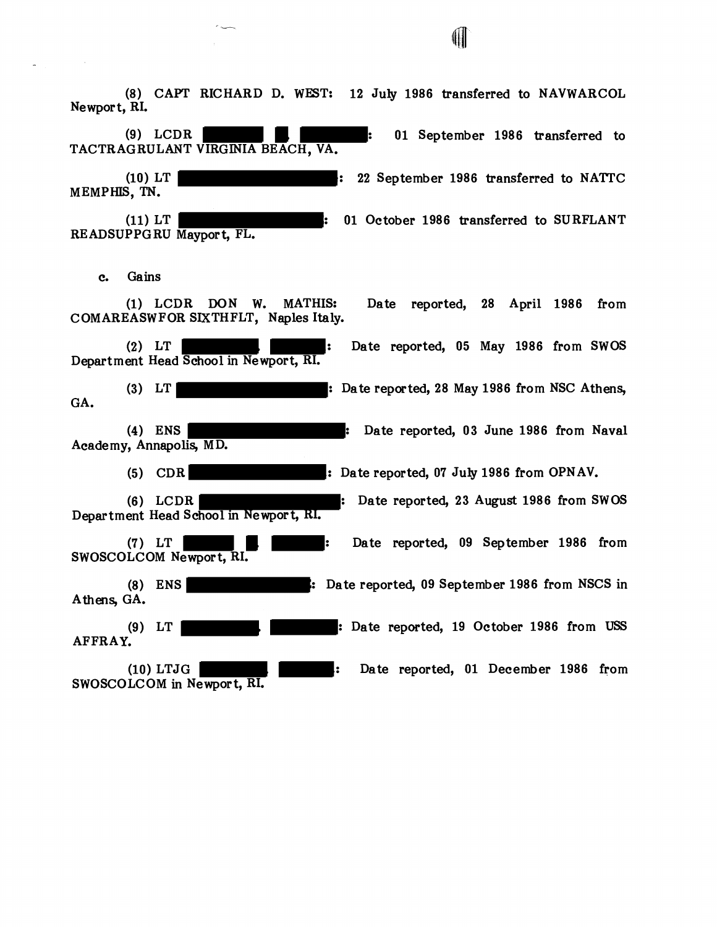**(8)** CAPT RICHARD D. WEST: **12** July **1986** transferred to NAVWARCOL Newport, RI. **(9)** LCDR : **01** September **1986** transferred to TACTRAG RULANT VIRGINIA BEACH, VA. **(10)** LT : **22** September **1986** transferred to NATI'C MEMPHIS, **TN. (11)** LT : **01** October **1986** transferred to SURFLANT RE ADSUPPG RU Maypor t, FL. c. Gains **(1)** LCDR DON W. MATHIS: Date reported, **28** April **1986** from COMAREASWFOR SIXTHFLT, Naples Italy. **(2)** LT : Date reported, **05** May **1986** from SWOS Department Head School in Newport, RI. **(3)** LT : Date reported, **28** May **1986** from NSC Athens, GA. (4) ENS : Date reported, **03** June **1986** from Naval Academy, Annapolis, MD. **(5)** CDR : Date reported, **07** July **1986** from OPNAV. **(6)** LCDR : Date reported, **23** August **1986** from SWOS Department Head School in Newpor t, RI. **(7)** LT : Date reported, **09** September **1986** from SWOSCOLCOM Newpor t, RI. **(8)** ENS : Date reported, **09** September **1986** from NSCS in Athens, GA. **(9)** LT : Date reported, **19** October **1986** from **USS**  AFFRAY. **(10)** LTJG : Date reported, **01** December **1986** from SWOSCOLCOM in Newport, RI.